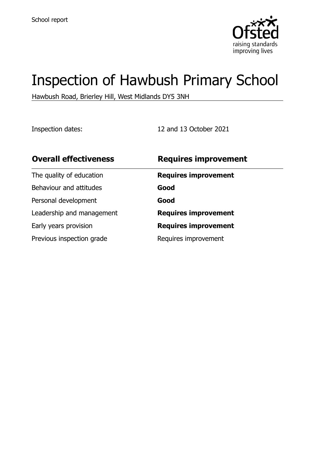

# Inspection of Hawbush Primary School

Hawbush Road, Brierley Hill, West Midlands DY5 3NH

Inspection dates: 12 and 13 October 2021

| <b>Overall effectiveness</b> | <b>Requires improvement</b> |
|------------------------------|-----------------------------|
| The quality of education     | <b>Requires improvement</b> |
| Behaviour and attitudes      | Good                        |
| Personal development         | Good                        |
| Leadership and management    | <b>Requires improvement</b> |
| Early years provision        | <b>Requires improvement</b> |
| Previous inspection grade    | Requires improvement        |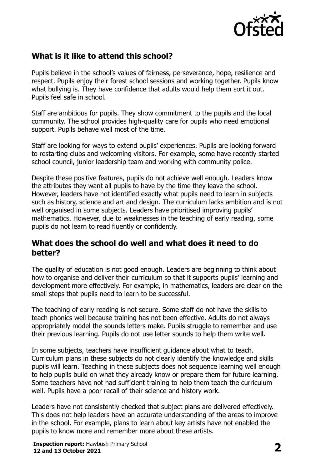

# **What is it like to attend this school?**

Pupils believe in the school's values of fairness, perseverance, hope, resilience and respect. Pupils enjoy their forest school sessions and working together. Pupils know what bullying is. They have confidence that adults would help them sort it out. Pupils feel safe in school.

Staff are ambitious for pupils. They show commitment to the pupils and the local community. The school provides high-quality care for pupils who need emotional support. Pupils behave well most of the time.

Staff are looking for ways to extend pupils' experiences. Pupils are looking forward to restarting clubs and welcoming visitors. For example, some have recently started school council, junior leadership team and working with community police.

Despite these positive features, pupils do not achieve well enough. Leaders know the attributes they want all pupils to have by the time they leave the school. However, leaders have not identified exactly what pupils need to learn in subjects such as history, science and art and design. The curriculum lacks ambition and is not well organised in some subjects. Leaders have prioritised improving pupils' mathematics. However, due to weaknesses in the teaching of early reading, some pupils do not learn to read fluently or confidently.

#### **What does the school do well and what does it need to do better?**

The quality of education is not good enough. Leaders are beginning to think about how to organise and deliver their curriculum so that it supports pupils' learning and development more effectively. For example, in mathematics, leaders are clear on the small steps that pupils need to learn to be successful.

The teaching of early reading is not secure. Some staff do not have the skills to teach phonics well because training has not been effective. Adults do not always appropriately model the sounds letters make. Pupils struggle to remember and use their previous learning. Pupils do not use letter sounds to help them write well.

In some subjects, teachers have insufficient guidance about what to teach. Curriculum plans in these subjects do not clearly identify the knowledge and skills pupils will learn. Teaching in these subjects does not sequence learning well enough to help pupils build on what they already know or prepare them for future learning. Some teachers have not had sufficient training to help them teach the curriculum well. Pupils have a poor recall of their science and history work.

Leaders have not consistently checked that subject plans are delivered effectively. This does not help leaders have an accurate understanding of the areas to improve in the school. For example, plans to learn about key artists have not enabled the pupils to know more and remember more about these artists.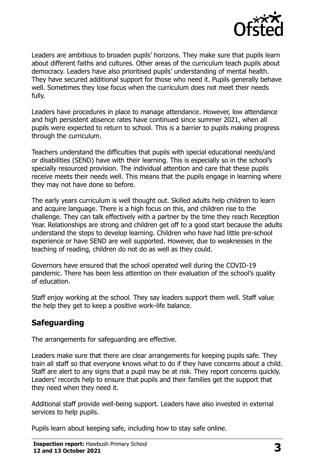

Leaders are ambitious to broaden pupils' horizons. They make sure that pupils learn about different faiths and cultures. Other areas of the curriculum teach pupils about democracy. Leaders have also prioritised pupils' understanding of mental health. They have secured additional support for those who need it. Pupils generally behave well. Sometimes they lose focus when the curriculum does not meet their needs fully.

Leaders have procedures in place to manage attendance. However, low attendance and high persistent absence rates have continued since summer 2021, when all pupils were expected to return to school. This is a barrier to pupils making progress through the curriculum.

Teachers understand the difficulties that pupils with special educational needs/and or disabilities (SEND) have with their learning. This is especially so in the school's specially resourced provision. The individual attention and care that these pupils receive meets their needs well. This means that the pupils engage in learning where they may not have done so before.

The early years curriculum is well thought out. Skilled adults help children to learn and acquire language. There is a high focus on this, and children rise to the challenge. They can talk effectively with a partner by the time they reach Reception Year. Relationships are strong and children get off to a good start because the adults understand the steps to develop learning. Children who have had little pre-school experience or have SEND are well supported. However, due to weaknesses in the teaching of reading, children do not do as well as they could.

Governors have ensured that the school operated well during the COVID-19 pandemic. There has been less attention on their evaluation of the school's quality of education.

Staff enjoy working at the school. They say leaders support them well. Staff value the help they get to keep a positive work–life balance.

### **Safeguarding**

The arrangements for safeguarding are effective.

Leaders make sure that there are clear arrangements for keeping pupils safe. They train all staff so that everyone knows what to do if they have concerns about a child. Staff are alert to any signs that a pupil may be at risk. They report concerns quickly. Leaders' records help to ensure that pupils and their families get the support that they need when they need it.

Additional staff provide well-being support. Leaders have also invested in external services to help pupils.

Pupils learn about keeping safe, including how to stay safe online.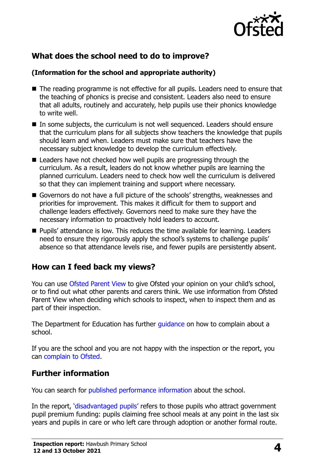

# **What does the school need to do to improve?**

#### **(Information for the school and appropriate authority)**

- The reading programme is not effective for all pupils. Leaders need to ensure that the teaching of phonics is precise and consistent. Leaders also need to ensure that all adults, routinely and accurately, help pupils use their phonics knowledge to write well.
- In some subjects, the curriculum is not well sequenced. Leaders should ensure that the curriculum plans for all subjects show teachers the knowledge that pupils should learn and when. Leaders must make sure that teachers have the necessary subject knowledge to develop the curriculum effectively.
- Leaders have not checked how well pupils are progressing through the curriculum. As a result, leaders do not know whether pupils are learning the planned curriculum. Leaders need to check how well the curriculum is delivered so that they can implement training and support where necessary.
- Governors do not have a full picture of the schools' strengths, weaknesses and priorities for improvement. This makes it difficult for them to support and challenge leaders effectively. Governors need to make sure they have the necessary information to proactively hold leaders to account.
- **Pupils' attendance is low. This reduces the time available for learning. Leaders** need to ensure they rigorously apply the school's systems to challenge pupils' absence so that attendance levels rise, and fewer pupils are persistently absent.

### **How can I feed back my views?**

You can use [Ofsted Parent View](http://parentview.ofsted.gov.uk/) to give Ofsted your opinion on your child's school, or to find out what other parents and carers think. We use information from Ofsted Parent View when deciding which schools to inspect, when to inspect them and as part of their inspection.

The Department for Education has further quidance on how to complain about a school.

If you are the school and you are not happy with the inspection or the report, you can [complain to Ofsted.](http://www.gov.uk/complain-ofsted-report)

### **Further information**

You can search for [published performance information](http://www.compare-school-performance.service.gov.uk/) about the school.

In the report, '[disadvantaged pupils](http://www.gov.uk/guidance/pupil-premium-information-for-schools-and-alternative-provision-settings)' refers to those pupils who attract government pupil premium funding: pupils claiming free school meals at any point in the last six years and pupils in care or who left care through adoption or another formal route.

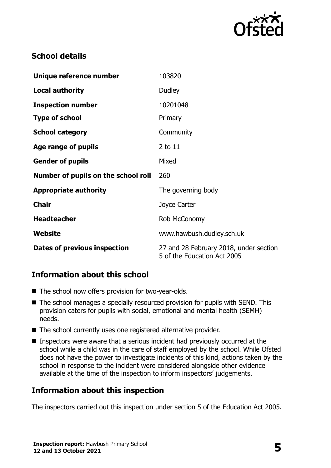

## **School details**

| Unique reference number             | 103820                                                                |
|-------------------------------------|-----------------------------------------------------------------------|
| <b>Local authority</b>              | Dudley                                                                |
| <b>Inspection number</b>            | 10201048                                                              |
| <b>Type of school</b>               | Primary                                                               |
| <b>School category</b>              | Community                                                             |
| Age range of pupils                 | $2$ to $11$                                                           |
| <b>Gender of pupils</b>             | Mixed                                                                 |
| Number of pupils on the school roll | 260                                                                   |
| <b>Appropriate authority</b>        | The governing body                                                    |
| <b>Chair</b>                        | Joyce Carter                                                          |
| <b>Headteacher</b>                  | Rob McConomy                                                          |
| <b>Website</b>                      | www.hawbush.dudley.sch.uk                                             |
| Dates of previous inspection        | 27 and 28 February 2018, under section<br>5 of the Education Act 2005 |

### **Information about this school**

- The school now offers provision for two-year-olds.
- The school manages a specially resourced provision for pupils with SEND. This provision caters for pupils with social, emotional and mental health (SEMH) needs.
- The school currently uses one registered alternative provider.
- Inspectors were aware that a serious incident had previously occurred at the school while a child was in the care of staff employed by the school. While Ofsted does not have the power to investigate incidents of this kind, actions taken by the school in response to the incident were considered alongside other evidence available at the time of the inspection to inform inspectors' judgements.

#### **Information about this inspection**

The inspectors carried out this inspection under section 5 of the Education Act 2005.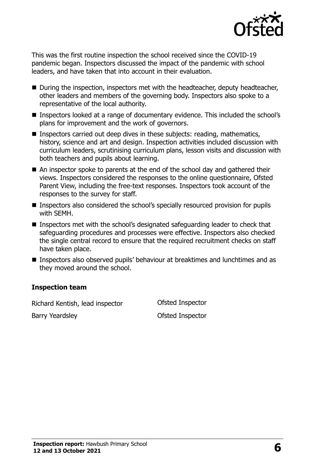

This was the first routine inspection the school received since the COVID-19 pandemic began. Inspectors discussed the impact of the pandemic with school leaders, and have taken that into account in their evaluation.

- During the inspection, inspectors met with the headteacher, deputy headteacher, other leaders and members of the governing body. Inspectors also spoke to a representative of the local authority.
- Inspectors looked at a range of documentary evidence. This included the school's plans for improvement and the work of governors.
- Inspectors carried out deep dives in these subjects: reading, mathematics, history, science and art and design. Inspection activities included discussion with curriculum leaders, scrutinising curriculum plans, lesson visits and discussion with both teachers and pupils about learning.
- An inspector spoke to parents at the end of the school day and gathered their views. Inspectors considered the responses to the online questionnaire, Ofsted Parent View, including the free-text responses. Inspectors took account of the responses to the survey for staff.
- Inspectors also considered the school's specially resourced provision for pupils with SEMH.
- Inspectors met with the school's designated safeguarding leader to check that safeguarding procedures and processes were effective. Inspectors also checked the single central record to ensure that the required recruitment checks on staff have taken place.
- Inspectors also observed pupils' behaviour at breaktimes and lunchtimes and as they moved around the school.

#### **Inspection team**

Richard Kentish, lead inspector Ofsted Inspector

Barry Yeardsley **Details and Search Control** Control Ofsted Inspector